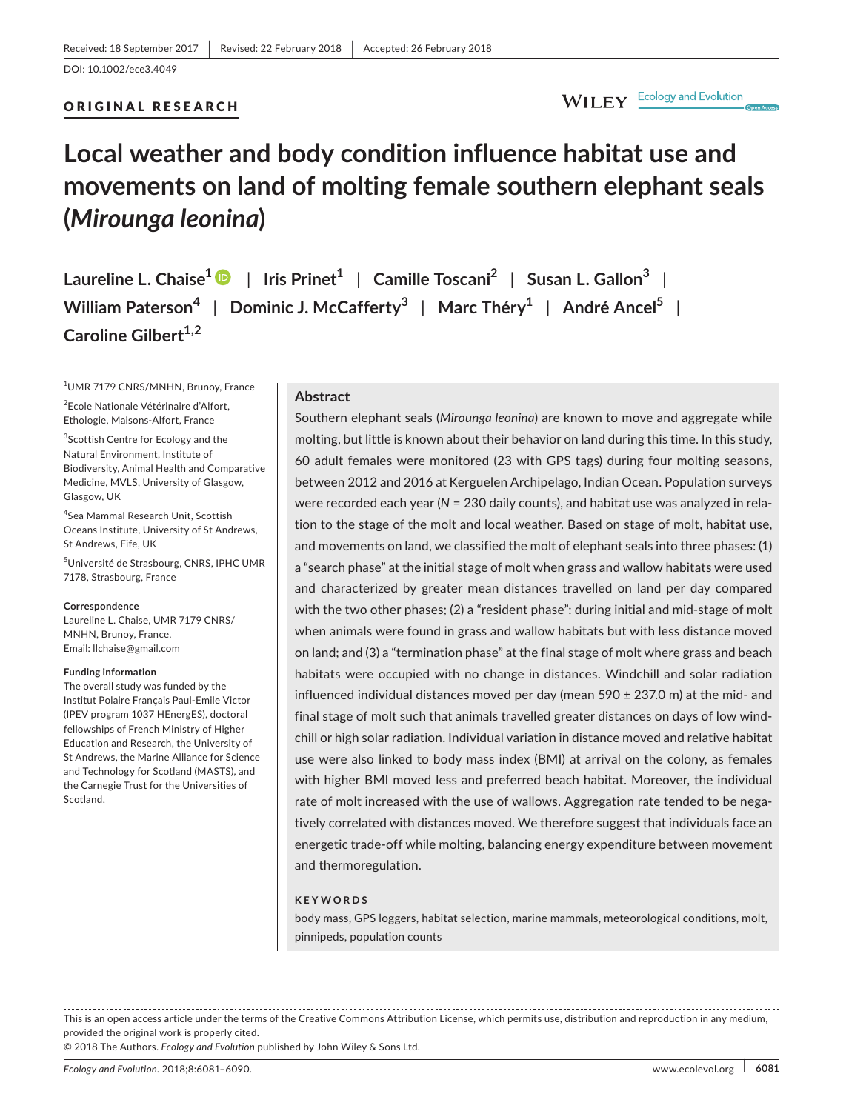#### ORIGINAL RESEARCH

## WILEY Ecology and Evolution

# **Local weather and body condition influence habitat use and movements on land of molting female southern elephant seals (***Mirounga leonina***)**

**Laureline L. Chaise[1](http://orcid.org/0000-0001-6045-8548)** | **Iris Prinet<sup>1</sup>** | **Camille Toscani<sup>2</sup>** | **Susan L. Gallon<sup>3</sup>** | **William Paterson<sup>4</sup>** | **Dominic J. McCafferty<sup>3</sup>** | **Marc Théry<sup>1</sup>** | **André Ancel<sup>5</sup>** | **Caroline Gilbert1,2**

1 UMR 7179 CNRS/MNHN, Brunoy, France

2 Ecole Nationale Vétérinaire d'Alfort, Ethologie, Maisons-Alfort, France

<sup>3</sup>Scottish Centre for Ecology and the Natural Environment, Institute of Biodiversity, Animal Health and Comparative Medicine, MVLS, University of Glasgow, Glasgow, UK

4 Sea Mammal Research Unit, Scottish Oceans Institute, University of St Andrews, St Andrews, Fife, UK

5 Université de Strasbourg, CNRS, IPHC UMR 7178, Strasbourg, France

#### **Correspondence**

Laureline L. Chaise, UMR 7179 CNRS/ MNHN, Brunoy, France. Email: [llchaise@gmail.com](mailto:llchaise@gmail.com)

#### **Funding information**

The overall study was funded by the Institut Polaire Français Paul-Emile Victor (IPEV program 1037 HEnergES), doctoral fellowships of French Ministry of Higher Education and Research, the University of St Andrews, the Marine Alliance for Science and Technology for Scotland (MASTS), and the Carnegie Trust for the Universities of Scotland.

#### **Abstract**

Southern elephant seals (*Mirounga leonina*) are known to move and aggregate while molting, but little is known about their behavior on land during this time. In this study, 60 adult females were monitored (23 with GPS tags) during four molting seasons, between 2012 and 2016 at Kerguelen Archipelago, Indian Ocean. Population surveys were recorded each year (*N* = 230 daily counts), and habitat use was analyzed in relation to the stage of the molt and local weather. Based on stage of molt, habitat use, and movements on land, we classified the molt of elephant seals into three phases: (1) a "search phase" at the initial stage of molt when grass and wallow habitats were used and characterized by greater mean distances travelled on land per day compared with the two other phases; (2) a "resident phase": during initial and mid-stage of molt when animals were found in grass and wallow habitats but with less distance moved on land; and (3) a "termination phase" at the final stage of molt where grass and beach habitats were occupied with no change in distances. Windchill and solar radiation influenced individual distances moved per day (mean  $590 \pm 237.0$  m) at the mid- and final stage of molt such that animals travelled greater distances on days of low windchill or high solar radiation. Individual variation in distance moved and relative habitat use were also linked to body mass index (BMI) at arrival on the colony, as females with higher BMI moved less and preferred beach habitat. Moreover, the individual rate of molt increased with the use of wallows. Aggregation rate tended to be negatively correlated with distances moved. We therefore suggest that individuals face an energetic trade-off while molting, balancing energy expenditure between movement and thermoregulation.

#### **KEYWORDS**

body mass, GPS loggers, habitat selection, marine mammals, meteorological conditions, molt, pinnipeds, population counts

This is an open access article under the terms of the Creative Commons [Attribution](http://creativecommons.org/licenses/by/4.0/) License, which permits use, distribution and reproduction in any medium, provided the original work is properly cited.

© 2018 The Authors. *Ecology and Evolution* published by John Wiley & Sons Ltd.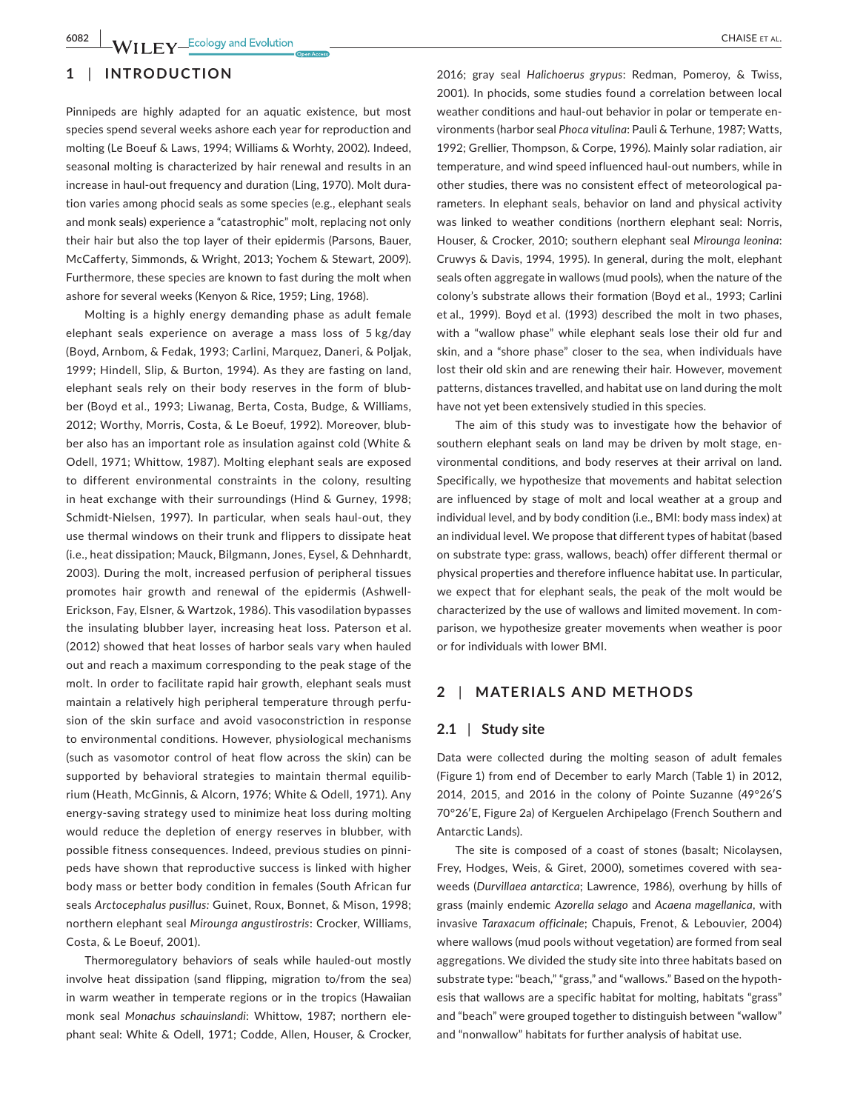## **1** | **INTRODUCTION**

Pinnipeds are highly adapted for an aquatic existence, but most species spend several weeks ashore each year for reproduction and molting (Le Boeuf & Laws, 1994; Williams & Worhty, 2002). Indeed, seasonal molting is characterized by hair renewal and results in an increase in haul-out frequency and duration (Ling, 1970). Molt duration varies among phocid seals as some species (e.g., elephant seals and monk seals) experience a "catastrophic" molt, replacing not only their hair but also the top layer of their epidermis (Parsons, Bauer, McCafferty, Simmonds, & Wright, 2013; Yochem & Stewart, 2009). Furthermore, these species are known to fast during the molt when ashore for several weeks (Kenyon & Rice, 1959; Ling, 1968).

Molting is a highly energy demanding phase as adult female elephant seals experience on average a mass loss of 5 kg/day (Boyd, Arnbom, & Fedak, 1993; Carlini, Marquez, Daneri, & Poljak, 1999; Hindell, Slip, & Burton, 1994). As they are fasting on land, elephant seals rely on their body reserves in the form of blubber (Boyd et al., 1993; Liwanag, Berta, Costa, Budge, & Williams, 2012; Worthy, Morris, Costa, & Le Boeuf, 1992). Moreover, blubber also has an important role as insulation against cold (White & Odell, 1971; Whittow, 1987). Molting elephant seals are exposed to different environmental constraints in the colony, resulting in heat exchange with their surroundings (Hind & Gurney, 1998; Schmidt-Nielsen, 1997). In particular, when seals haul-out, they use thermal windows on their trunk and flippers to dissipate heat (i.e., heat dissipation; Mauck, Bilgmann, Jones, Eysel, & Dehnhardt, 2003). During the molt, increased perfusion of peripheral tissues promotes hair growth and renewal of the epidermis (Ashwell-Erickson, Fay, Elsner, & Wartzok, 1986). This vasodilation bypasses the insulating blubber layer, increasing heat loss. Paterson et al. (2012) showed that heat losses of harbor seals vary when hauled out and reach a maximum corresponding to the peak stage of the molt. In order to facilitate rapid hair growth, elephant seals must maintain a relatively high peripheral temperature through perfusion of the skin surface and avoid vasoconstriction in response to environmental conditions. However, physiological mechanisms (such as vasomotor control of heat flow across the skin) can be supported by behavioral strategies to maintain thermal equilibrium (Heath, McGinnis, & Alcorn, 1976; White & Odell, 1971). Any energy-saving strategy used to minimize heat loss during molting would reduce the depletion of energy reserves in blubber, with possible fitness consequences. Indeed, previous studies on pinnipeds have shown that reproductive success is linked with higher body mass or better body condition in females (South African fur seals *Arctocephalus pusillus:* Guinet, Roux, Bonnet, & Mison, 1998; northern elephant seal *Mirounga angustirostris*: Crocker, Williams, Costa, & Le Boeuf, 2001).

Thermoregulatory behaviors of seals while hauled-out mostly involve heat dissipation (sand flipping, migration to/from the sea) in warm weather in temperate regions or in the tropics (Hawaiian monk seal *Monachus schauinslandi*: Whittow, 1987; northern elephant seal: White & Odell, 1971; Codde, Allen, Houser, & Crocker,

2016; gray seal *Halichoerus grypus*: Redman, Pomeroy, & Twiss, 2001). In phocids, some studies found a correlation between local weather conditions and haul-out behavior in polar or temperate environments (harbor seal *Phoca vitulina*: Pauli & Terhune, 1987; Watts, 1992; Grellier, Thompson, & Corpe, 1996). Mainly solar radiation, air temperature, and wind speed influenced haul-out numbers, while in other studies, there was no consistent effect of meteorological parameters. In elephant seals, behavior on land and physical activity was linked to weather conditions (northern elephant seal: Norris, Houser, & Crocker, 2010; southern elephant seal *Mirounga leonina*: Cruwys & Davis, 1994, 1995). In general, during the molt, elephant seals often aggregate in wallows (mud pools), when the nature of the colony's substrate allows their formation (Boyd et al., 1993; Carlini et al., 1999). Boyd et al. (1993) described the molt in two phases, with a "wallow phase" while elephant seals lose their old fur and skin, and a "shore phase" closer to the sea, when individuals have lost their old skin and are renewing their hair. However, movement patterns, distances travelled, and habitat use on land during the molt have not yet been extensively studied in this species.

The aim of this study was to investigate how the behavior of southern elephant seals on land may be driven by molt stage, environmental conditions, and body reserves at their arrival on land. Specifically, we hypothesize that movements and habitat selection are influenced by stage of molt and local weather at a group and individual level, and by body condition (i.e., BMI: body mass index) at an individual level. We propose that different types of habitat (based on substrate type: grass, wallows, beach) offer different thermal or physical properties and therefore influence habitat use. In particular, we expect that for elephant seals, the peak of the molt would be characterized by the use of wallows and limited movement. In comparison, we hypothesize greater movements when weather is poor or for individuals with lower BMI.

## **2** | **MATERIALS AND METHODS**

#### **2.1** | **Study site**

Data were collected during the molting season of adult females (Figure 1) from end of December to early March (Table 1) in 2012, 2014, 2015, and 2016 in the colony of Pointe Suzanne (49°26′S 70°26′E, Figure 2a) of Kerguelen Archipelago (French Southern and Antarctic Lands).

The site is composed of a coast of stones (basalt; Nicolaysen, Frey, Hodges, Weis, & Giret, 2000), sometimes covered with seaweeds (*Durvillaea antarctica*; Lawrence, 1986), overhung by hills of grass (mainly endemic *Azorella selago* and *Acaena magellanica*, with invasive *Taraxacum officinale*; Chapuis, Frenot, & Lebouvier, 2004) where wallows (mud pools without vegetation) are formed from seal aggregations. We divided the study site into three habitats based on substrate type: "beach," "grass," and "wallows." Based on the hypothesis that wallows are a specific habitat for molting, habitats "grass" and "beach" were grouped together to distinguish between "wallow" and "nonwallow" habitats for further analysis of habitat use.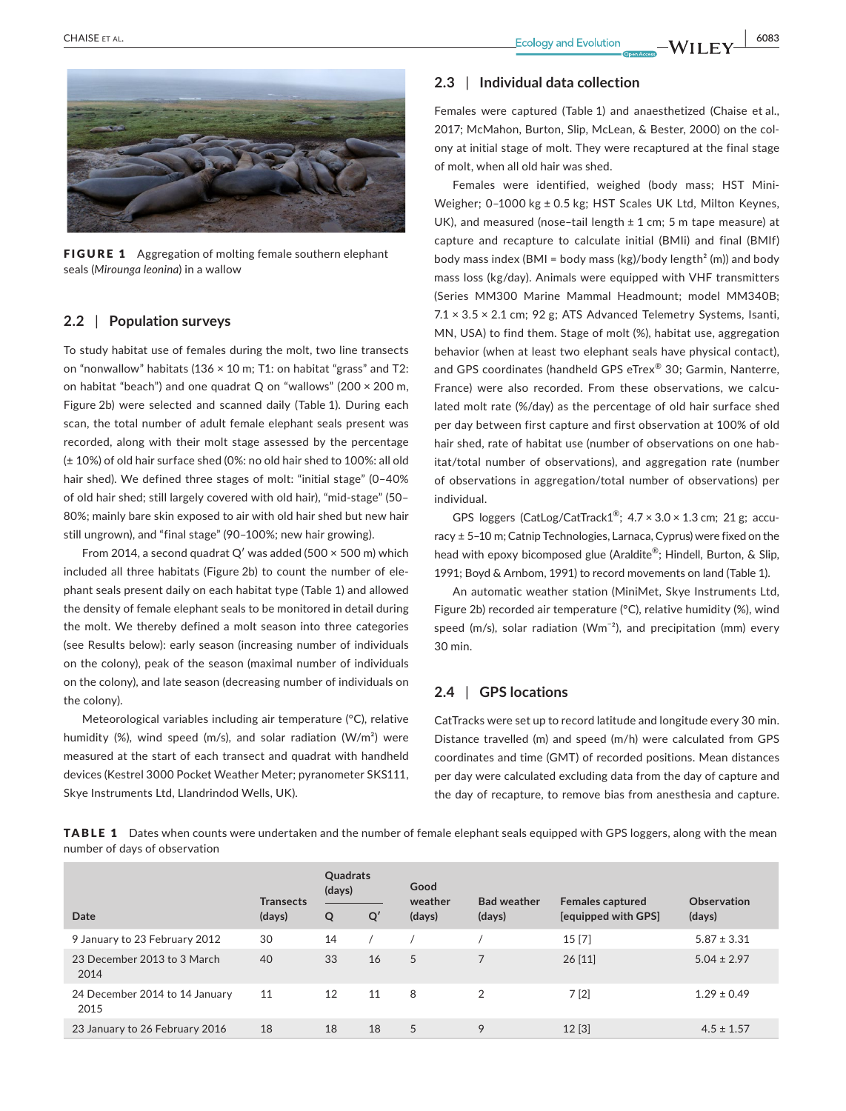

FIGURE 1 Aggregation of molting female southern elephant seals (*Mirounga leonina*) in a wallow

## **2.2** | **Population surveys**

To study habitat use of females during the molt, two line transects on "nonwallow" habitats (136  $\times$  10 m; T1: on habitat "grass" and T2: on habitat "beach") and one quadrat Q on "wallows" (200 × 200 m, Figure 2b) were selected and scanned daily (Table 1). During each scan, the total number of adult female elephant seals present was recorded, along with their molt stage assessed by the percentage (± 10%) of old hair surface shed (0%: no old hair shed to 100%: all old hair shed). We defined three stages of molt: "initial stage" (0-40% of old hair shed; still largely covered with old hair), "mid-stage" (50– 80%; mainly bare skin exposed to air with old hair shed but new hair still ungrown), and "final stage" (90–100%; new hair growing).

From 2014, a second quadrat Q' was added (500  $\times$  500 m) which included all three habitats (Figure 2b) to count the number of elephant seals present daily on each habitat type (Table 1) and allowed the density of female elephant seals to be monitored in detail during the molt. We thereby defined a molt season into three categories (see Results below): early season (increasing number of individuals on the colony), peak of the season (maximal number of individuals on the colony), and late season (decreasing number of individuals on the colony).

Meteorological variables including air temperature (°C), relative humidity (%), wind speed (m/s), and solar radiation (W/m<sup>2</sup>) were measured at the start of each transect and quadrat with handheld devices (Kestrel 3000 Pocket Weather Meter; pyranometer SKS111, Skye Instruments Ltd, Llandrindod Wells, UK).

## **2.3** | **Individual data collection**

Females were captured (Table 1) and anaesthetized (Chaise et al., 2017; McMahon, Burton, Slip, McLean, & Bester, 2000) on the colony at initial stage of molt. They were recaptured at the final stage of molt, when all old hair was shed.

Females were identified, weighed (body mass; HST Mini-Weigher; 0–1000 kg ± 0.5 kg; HST Scales UK Ltd, Milton Keynes, UK), and measured (nose-tail length  $\pm$  1 cm; 5 m tape measure) at capture and recapture to calculate initial (BMIi) and final (BMIf) body mass index (BMI = body mass (kg)/body length<sup>2</sup> (m)) and body mass loss (kg/day). Animals were equipped with VHF transmitters (Series MM300 Marine Mammal Headmount; model MM340B; 7.1 × 3.5 × 2.1 cm; 92 g; ATS Advanced Telemetry Systems, Isanti, MN, USA) to find them. Stage of molt (%), habitat use, aggregation behavior (when at least two elephant seals have physical contact), and GPS coordinates (handheld GPS eTrex® 30; Garmin, Nanterre, France) were also recorded. From these observations, we calculated molt rate (%/day) as the percentage of old hair surface shed per day between first capture and first observation at 100% of old hair shed, rate of habitat use (number of observations on one habitat/total number of observations), and aggregation rate (number of observations in aggregation/total number of observations) per individual.

GPS loggers (CatLog/CatTrack1®;  $4.7 \times 3.0 \times 1.3$  cm; 21 g; accuracy ± 5–10 m; Catnip Technologies, Larnaca, Cyprus) were fixed on the head with epoxy bicomposed glue (Araldite®; Hindell, Burton, & Slip, 1991; Boyd & Arnbom, 1991) to record movements on land (Table 1).

An automatic weather station (MiniMet, Skye Instruments Ltd, Figure 2b) recorded air temperature (°C), relative humidity (%), wind speed (m/s), solar radiation (Wm<sup>-2</sup>), and precipitation (mm) every 30 min.

## **2.4** | **GPS locations**

CatTracks were set up to record latitude and longitude every 30 min. Distance travelled (m) and speed (m/h) were calculated from GPS coordinates and time (GMT) of recorded positions. Mean distances per day were calculated excluding data from the day of capture and the day of recapture, to remove bias from anesthesia and capture.

TABLE 1 Dates when counts were undertaken and the number of female elephant seals equipped with GPS loggers, along with the mean number of days of observation

|                                        | <b>Transects</b> | Quadrats<br>(days) |    | Good<br>weather | <b>Bad weather</b> | <b>Females captured</b> | Observation     |
|----------------------------------------|------------------|--------------------|----|-----------------|--------------------|-------------------------|-----------------|
| Date                                   | (days)           | Q                  | Q' | (days)          | (days)             | [equipped with GPS]     | (days)          |
| 9 January to 23 February 2012          | 30               | 14                 |    |                 |                    | 15[7]                   | $5.87 \pm 3.31$ |
| 23 December 2013 to 3 March<br>2014    | 40               | 33                 | 16 | 5               |                    | 26[11]                  | $5.04 \pm 2.97$ |
| 24 December 2014 to 14 January<br>2015 | 11               | 12                 | 11 | 8               | 2                  | 7[2]                    | $1.29 \pm 0.49$ |
| 23 January to 26 February 2016         | 18               | 18                 | 18 | 5               | 9                  | 12[3]                   | $4.5 \pm 1.57$  |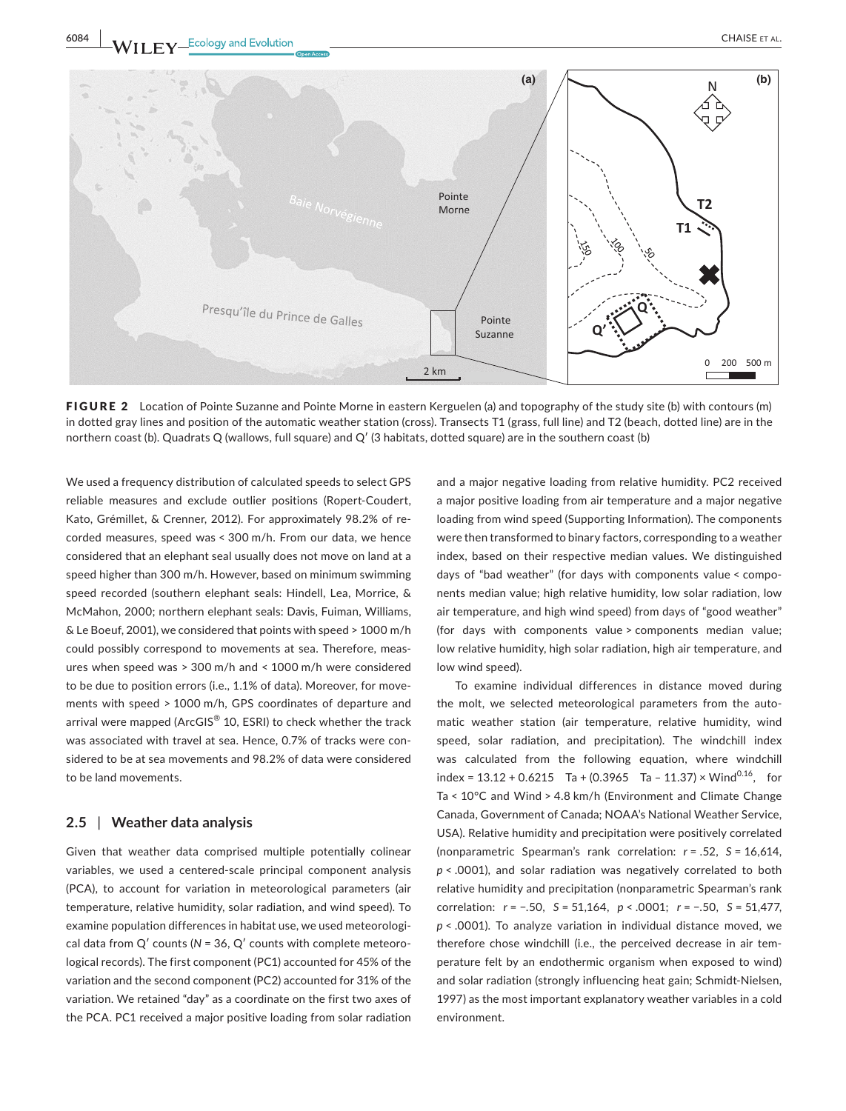



FIGURE 2 Location of Pointe Suzanne and Pointe Morne in eastern Kerguelen (a) and topography of the study site (b) with contours (m) in dotted gray lines and position of the automatic weather station (cross). Transects T1 (grass, full line) and T2 (beach, dotted line) are in the northern coast (b). Quadrats Q (wallows, full square) and Q′ (3 habitats, dotted square) are in the southern coast (b)

We used a frequency distribution of calculated speeds to select GPS reliable measures and exclude outlier positions (Ropert-Coudert, Kato, Grémillet, & Crenner, 2012). For approximately 98.2% of recorded measures, speed was < 300 m/h. From our data, we hence considered that an elephant seal usually does not move on land at a speed higher than 300 m/h. However, based on minimum swimming speed recorded (southern elephant seals: Hindell, Lea, Morrice, & McMahon, 2000; northern elephant seals: Davis, Fuiman, Williams, & Le Boeuf, 2001), we considered that points with speed > 1000 m/h could possibly correspond to movements at sea. Therefore, measures when speed was > 300 m/h and < 1000 m/h were considered to be due to position errors (i.e., 1.1% of data). Moreover, for movements with speed > 1000 m/h, GPS coordinates of departure and arrival were mapped (ArcGIS<sup>®</sup> 10, ESRI) to check whether the track was associated with travel at sea. Hence, 0.7% of tracks were considered to be at sea movements and 98.2% of data were considered to be land movements.

#### **2.5** | **Weather data analysis**

Given that weather data comprised multiple potentially colinear variables, we used a centered-scale principal component analysis (PCA), to account for variation in meteorological parameters (air temperature, relative humidity, solar radiation, and wind speed). To examine population differences in habitat use, we used meteorological data from Q′ counts (*N* = 36, Q′ counts with complete meteorological records). The first component (PC1) accounted for 45% of the variation and the second component (PC2) accounted for 31% of the variation. We retained "day" as a coordinate on the first two axes of the PCA. PC1 received a major positive loading from solar radiation

and a major negative loading from relative humidity. PC2 received a major positive loading from air temperature and a major negative loading from wind speed (Supporting Information). The components were then transformed to binary factors, corresponding to a weather index, based on their respective median values. We distinguished days of "bad weather" (for days with components value < components median value; high relative humidity, low solar radiation, low air temperature, and high wind speed) from days of "good weather" (for days with components value > components median value; low relative humidity, high solar radiation, high air temperature, and low wind speed).

To examine individual differences in distance moved during the molt, we selected meteorological parameters from the automatic weather station (air temperature, relative humidity, wind speed, solar radiation, and precipitation). The windchill index was calculated from the following equation, where windchill index =  $13.12 + 0.6215$  Ta +  $(0.3965$  Ta -  $11.37) \times$  Wind<sup>0.16</sup>, for Ta < 10°C and Wind > 4.8 km/h (Environment and Climate Change Canada, Government of Canada; NOAA's National Weather Service, USA). Relative humidity and precipitation were positively correlated (nonparametric Spearman's rank correlation: *r* = .52, *S* = 16,614, *p* < .0001), and solar radiation was negatively correlated to both relative humidity and precipitation (nonparametric Spearman's rank correlation: *r* = −.50, *S* = 51,164, *p* < .0001; *r* = −.50, *S* = 51,477, *p* < .0001). To analyze variation in individual distance moved, we therefore chose windchill (i.e., the perceived decrease in air temperature felt by an endothermic organism when exposed to wind) and solar radiation (strongly influencing heat gain; Schmidt-Nielsen, 1997) as the most important explanatory weather variables in a cold environment.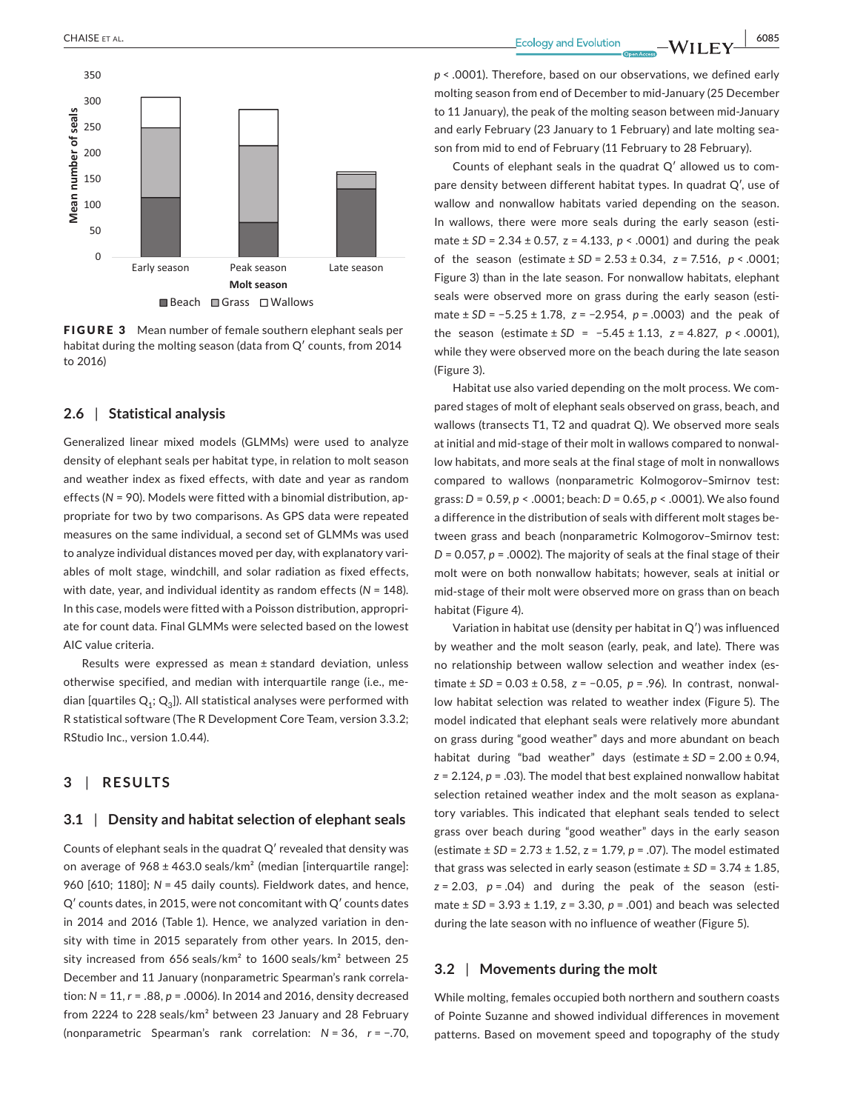

FIGURE 3 Mean number of female southern elephant seals per habitat during the molting season (data from Q′ counts, from 2014 to 2016)

#### **2.6** | **Statistical analysis**

Generalized linear mixed models (GLMMs) were used to analyze density of elephant seals per habitat type, in relation to molt season and weather index as fixed effects, with date and year as random effects (*N* = 90). Models were fitted with a binomial distribution, appropriate for two by two comparisons. As GPS data were repeated measures on the same individual, a second set of GLMMs was used to analyze individual distances moved per day, with explanatory variables of molt stage, windchill, and solar radiation as fixed effects, with date, year, and individual identity as random effects (N = 148). In this case, models were fitted with a Poisson distribution, appropriate for count data. Final GLMMs were selected based on the lowest AIC value criteria.

Results were expressed as mean ± standard deviation, unless otherwise specified, and median with interquartile range (i.e., median [quartiles  $Q_1$ ;  $Q_2$ ]). All statistical analyses were performed with R statistical software (The R Development Core Team, version 3.3.2; RStudio Inc., version 1.0.44).

## **3** | **RESULTS**

#### **3.1** | **Density and habitat selection of elephant seals**

Counts of elephant seals in the quadrat Q′ revealed that density was on average of  $968 \pm 463.0$  seals/km<sup>2</sup> (median [interquartile range]: 960 [610; 1180]; *N* = 45 daily counts). Fieldwork dates, and hence, Q′ counts dates, in 2015, were not concomitant with Q′ counts dates in 2014 and 2016 (Table 1). Hence, we analyzed variation in density with time in 2015 separately from other years. In 2015, density increased from 656 seals/km² to 1600 seals/km² between 25 December and 11 January (nonparametric Spearman's rank correlation: *N* = 11, *r* = .88, *p* = .0006). In 2014 and 2016, density decreased from 2224 to 228 seals/km² between 23 January and 28 February (nonparametric Spearman's rank correlation: *N* = 36, *r* = −.70,

 **CHAISE** ET AL. **1999 6085** 

*p* < .0001). Therefore, based on our observations, we defined early molting season from end of December to mid-January (25 December to 11 January), the peak of the molting season between mid-January and early February (23 January to 1 February) and late molting season from mid to end of February (11 February to 28 February).

Counts of elephant seals in the quadrat Q′ allowed us to compare density between different habitat types. In quadrat Q′, use of wallow and nonwallow habitats varied depending on the season. In wallows, there were more seals during the early season (estimate  $\pm$  *SD* = 2.34  $\pm$  0.57, *z* = 4.133, *p* < .0001) and during the peak of the season (estimate ± *SD* = 2.53 ± 0.34, *z* = 7.516, *p* < .0001; Figure 3) than in the late season. For nonwallow habitats, elephant seals were observed more on grass during the early season (estimate ± *SD* = −5.25 ± 1.78, *z* = −2.954, *p* = .0003) and the peak of the season (estimate ± *SD* = −5.45 ± 1.13, *z* = 4.827, *p* < .0001), while they were observed more on the beach during the late season (Figure 3).

Habitat use also varied depending on the molt process. We compared stages of molt of elephant seals observed on grass, beach, and wallows (transects T1, T2 and quadrat Q). We observed more seals at initial and mid-stage of their molt in wallows compared to nonwallow habitats, and more seals at the final stage of molt in nonwallows compared to wallows (nonparametric Kolmogorov–Smirnov test: grass: *D* = 0.59, *p* < .0001; beach: *D* = 0.65, *p* < .0001). We also found a difference in the distribution of seals with different molt stages between grass and beach (nonparametric Kolmogorov–Smirnov test: *D* = 0.057, *p* = .0002). The majority of seals at the final stage of their molt were on both nonwallow habitats; however, seals at initial or mid-stage of their molt were observed more on grass than on beach habitat (Figure 4).

Variation in habitat use (density per habitat in Q′) was influenced by weather and the molt season (early, peak, and late). There was no relationship between wallow selection and weather index (estimate ± *SD* = 0.03 ± 0.58, *z* = −0.05, *p* = .96). In contrast, nonwallow habitat selection was related to weather index (Figure 5). The model indicated that elephant seals were relatively more abundant on grass during "good weather" days and more abundant on beach habitat during "bad weather" days (estimate  $\pm$  SD = 2.00  $\pm$  0.94, *z* = 2.124, *p* = .03). The model that best explained nonwallow habitat selection retained weather index and the molt season as explanatory variables. This indicated that elephant seals tended to select grass over beach during "good weather" days in the early season (estimate ± *SD* = 2.73 ± 1.52, z = 1.79, *p* = .07). The model estimated that grass was selected in early season (estimate ± *SD* = 3.74 ± 1.85,  $z = 2.03$ ,  $p = .04$ ) and during the peak of the season (estimate ± *SD* = 3.93 ± 1.19, *z* = 3.30, *p* = .001) and beach was selected during the late season with no influence of weather (Figure 5).

#### **3.2** | **Movements during the molt**

While molting, females occupied both northern and southern coasts of Pointe Suzanne and showed individual differences in movement patterns. Based on movement speed and topography of the study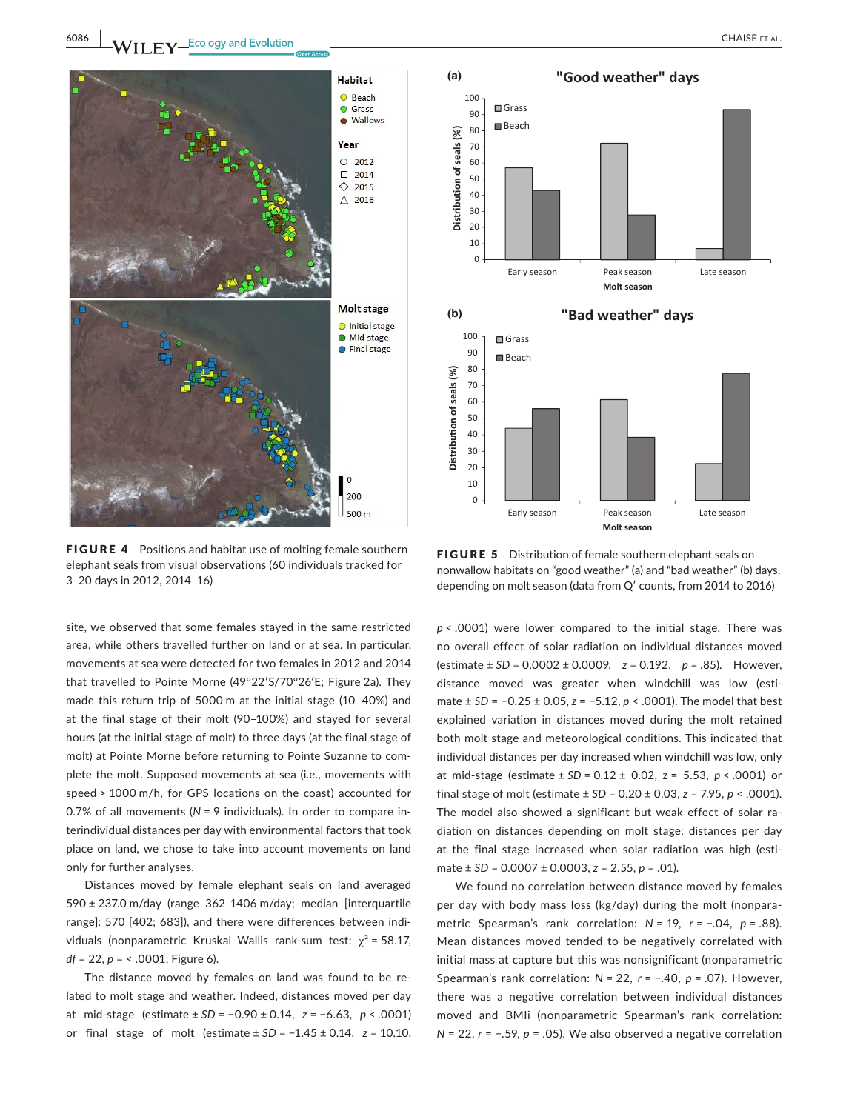

FIGURE 4 Positions and habitat use of molting female southern elephant seals from visual observations (60 individuals tracked for 3–20 days in 2012, 2014–16)

site, we observed that some females stayed in the same restricted area, while others travelled further on land or at sea. In particular, movements at sea were detected for two females in 2012 and 2014 that travelled to Pointe Morne (49°22′S/70°26′E; Figure 2a). They made this return trip of 5000 m at the initial stage (10–40%) and at the final stage of their molt (90–100%) and stayed for several hours (at the initial stage of molt) to three days (at the final stage of molt) at Pointe Morne before returning to Pointe Suzanne to complete the molt. Supposed movements at sea (i.e., movements with speed > 1000 m/h, for GPS locations on the coast) accounted for 0.7% of all movements (*N* = 9 individuals). In order to compare interindividual distances per day with environmental factors that took place on land, we chose to take into account movements on land only for further analyses.

Distances moved by female elephant seals on land averaged 590 ± 237.0 m/day (range 362–1406 m/day; median [interquartile range]: 570 [402; 683]), and there were differences between individuals (nonparametric Kruskal–Wallis rank-sum test:  $\chi^2$  = 58.17, *df* = 22, *p* = < .0001; Figure 6).

The distance moved by females on land was found to be related to molt stage and weather. Indeed, distances moved per day at mid-stage (estimate ± *SD* = −0.90 ± 0.14, *z* = −6.63, *p* < .0001) or final stage of molt (estimate ± *SD* = −1.45 ± 0.14, *z* = 10.10,



FIGURE 5 Distribution of female southern elephant seals on nonwallow habitats on "good weather" (a) and "bad weather" (b) days, depending on molt season (data from Q′ counts, from 2014 to 2016)

*p* < .0001) were lower compared to the initial stage. There was no overall effect of solar radiation on individual distances moved (estimate ± *SD* = 0.0002 ± 0.0009, *z* = 0.192, *p* = .85). However, distance moved was greater when windchill was low (estimate ± *SD* = −0.25 ± 0.05, *z* = −5.12, *p* < .0001). The model that best explained variation in distances moved during the molt retained both molt stage and meteorological conditions. This indicated that individual distances per day increased when windchill was low, only at mid-stage (estimate ± *SD* = 0.12 ± 0.02, z = 5.53, *p* < .0001) or final stage of molt (estimate ± *SD* = 0.20 ± 0.03, *z* = 7.95, *p* < .0001). The model also showed a significant but weak effect of solar radiation on distances depending on molt stage: distances per day at the final stage increased when solar radiation was high (estimate ± *SD* = 0.0007 ± 0.0003, *z* = 2.55, *p* = .01).

We found no correlation between distance moved by females per day with body mass loss (kg/day) during the molt (nonparametric Spearman's rank correlation: *N* = 19, *r* = −.04, *p* = .88). Mean distances moved tended to be negatively correlated with initial mass at capture but this was nonsignificant (nonparametric Spearman's rank correlation: *N* = 22, *r* = −.40, *p* = .07). However, there was a negative correlation between individual distances moved and BMIi (nonparametric Spearman's rank correlation: *N* = 22, *r* = −.59, *p* = .05). We also observed a negative correlation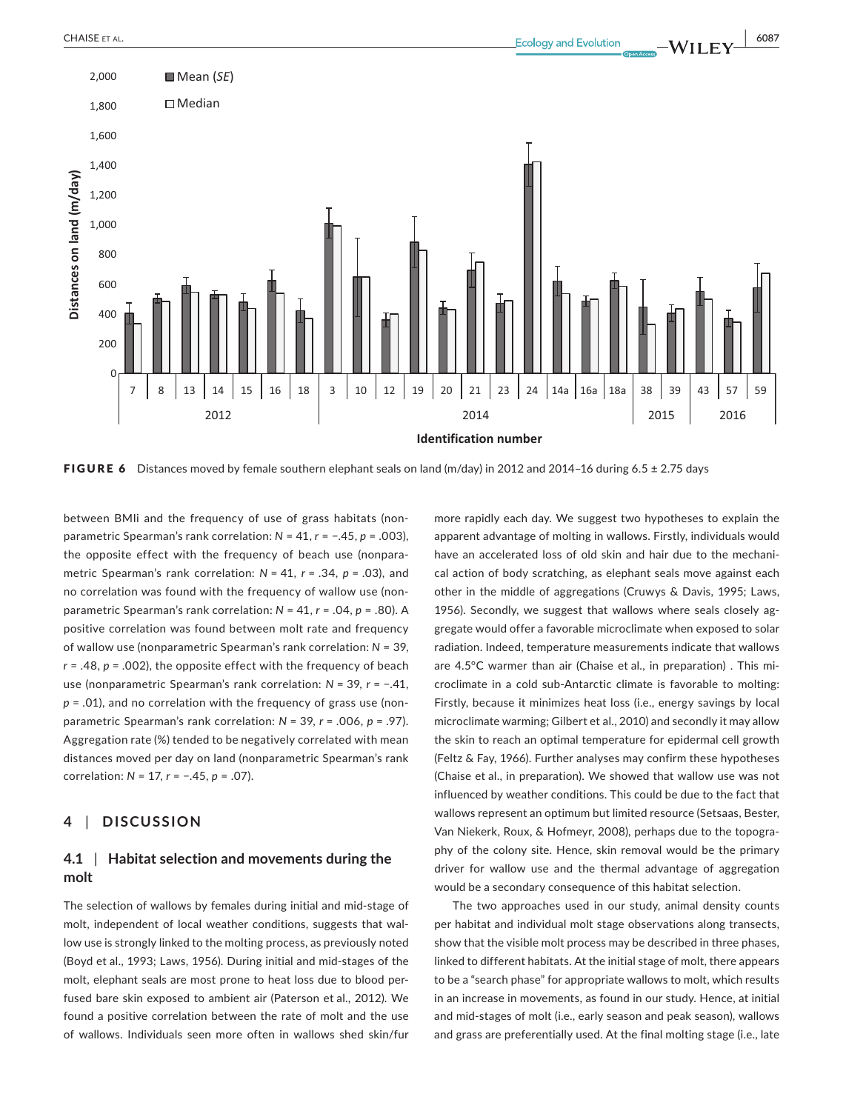

**Identification number**

FIGURE 6 Distances moved by female southern elephant seals on land (m/day) in 2012 and 2014-16 during 6.5 ± 2.75 days

between BMIi and the frequency of use of grass habitats (nonparametric Spearman's rank correlation: *N* = 41, *r* = −.45, *p* = .003), the opposite effect with the frequency of beach use (nonparametric Spearman's rank correlation: *N* = 41, *r* = .34, *p* = .03), and no correlation was found with the frequency of wallow use (nonparametric Spearman's rank correlation: *N* = 41, *r* = .04, *p* = .80). A positive correlation was found between molt rate and frequency of wallow use (nonparametric Spearman's rank correlation: *N* = 39, *r* = .48, *p* = .002), the opposite effect with the frequency of beach use (nonparametric Spearman's rank correlation: *N* = 39, *r* = −.41, *p* = .01), and no correlation with the frequency of grass use (nonparametric Spearman's rank correlation: *N* = 39, *r* = .006, *p* = .97). Aggregation rate (%) tended to be negatively correlated with mean distances moved per day on land (nonparametric Spearman's rank correlation: *N* = 17, *r* = −.45, *p* = .07).

## **4** | **DISCUSSION**

## **4.1** | **Habitat selection and movements during the molt**

The selection of wallows by females during initial and mid-stage of molt, independent of local weather conditions, suggests that wallow use is strongly linked to the molting process, as previously noted (Boyd et al., 1993; Laws, 1956). During initial and mid-stages of the molt, elephant seals are most prone to heat loss due to blood perfused bare skin exposed to ambient air (Paterson et al., 2012). We found a positive correlation between the rate of molt and the use of wallows. Individuals seen more often in wallows shed skin/fur more rapidly each day. We suggest two hypotheses to explain the apparent advantage of molting in wallows. Firstly, individuals would have an accelerated loss of old skin and hair due to the mechanical action of body scratching, as elephant seals move against each other in the middle of aggregations (Cruwys & Davis, 1995; Laws, 1956). Secondly, we suggest that wallows where seals closely aggregate would offer a favorable microclimate when exposed to solar radiation. Indeed, temperature measurements indicate that wallows are 4.5°C warmer than air (Chaise et al., in preparation) . This microclimate in a cold sub-Antarctic climate is favorable to molting: Firstly, because it minimizes heat loss (i.e., energy savings by local microclimate warming; Gilbert et al., 2010) and secondly it may allow the skin to reach an optimal temperature for epidermal cell growth (Feltz & Fay, 1966). Further analyses may confirm these hypotheses (Chaise et al., in preparation). We showed that wallow use was not influenced by weather conditions. This could be due to the fact that wallows represent an optimum but limited resource (Setsaas, Bester, Van Niekerk, Roux, & Hofmeyr, 2008), perhaps due to the topography of the colony site. Hence, skin removal would be the primary driver for wallow use and the thermal advantage of aggregation would be a secondary consequence of this habitat selection.

The two approaches used in our study, animal density counts per habitat and individual molt stage observations along transects, show that the visible molt process may be described in three phases, linked to different habitats. At the initial stage of molt, there appears to be a "search phase" for appropriate wallows to molt, which results in an increase in movements, as found in our study. Hence, at initial and mid-stages of molt (i.e., early season and peak season), wallows and grass are preferentially used. At the final molting stage (i.e., late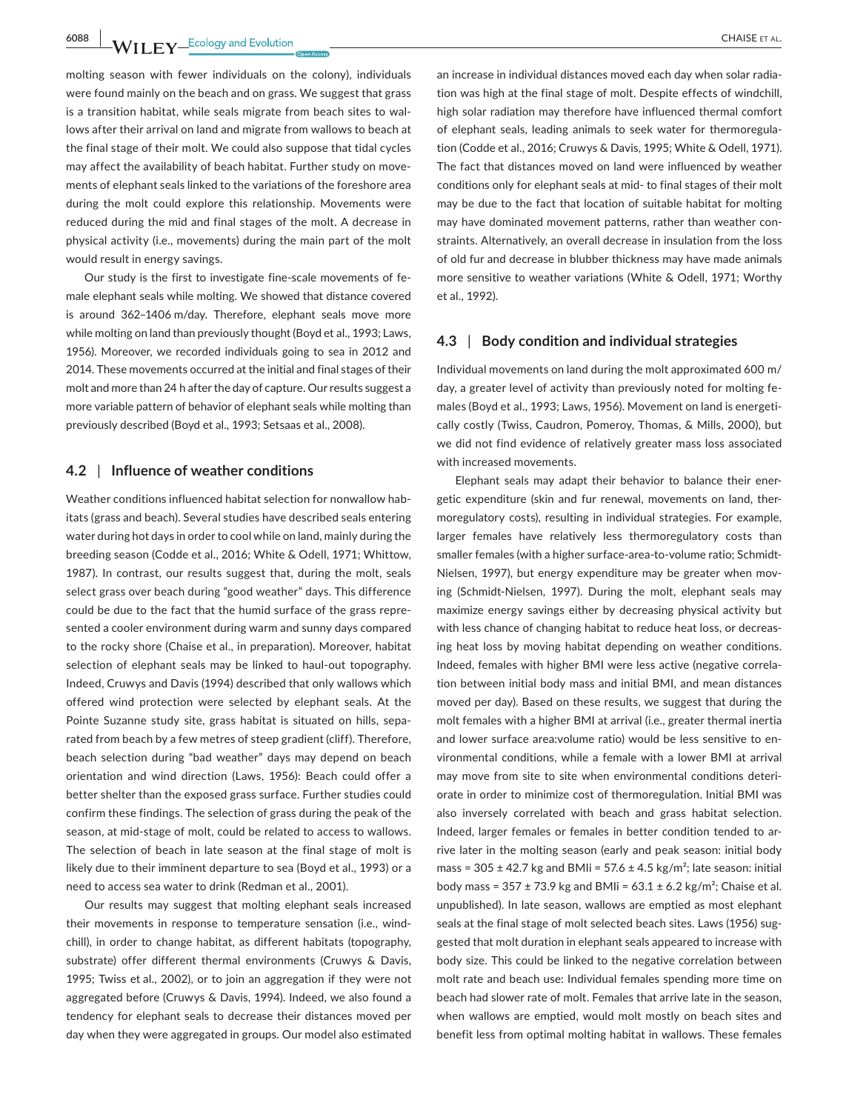**6088 WII FY** Ecology and Evolution <u>CHAISE ET AL.</u>

molting season with fewer individuals on the colony), individuals were found mainly on the beach and on grass. We suggest that grass is a transition habitat, while seals migrate from beach sites to wallows after their arrival on land and migrate from wallows to beach at the final stage of their molt. We could also suppose that tidal cycles may affect the availability of beach habitat. Further study on movements of elephant seals linked to the variations of the foreshore area during the molt could explore this relationship. Movements were reduced during the mid and final stages of the molt. A decrease in physical activity (i.e., movements) during the main part of the molt would result in energy savings.

Our study is the first to investigate fine-scale movements of female elephant seals while molting. We showed that distance covered is around 362–1406 m/day. Therefore, elephant seals move more while molting on land than previously thought (Boyd et al., 1993; Laws, 1956). Moreover, we recorded individuals going to sea in 2012 and 2014. These movements occurred at the initial and final stages of their molt and more than 24 h after the day of capture. Our results suggest a more variable pattern of behavior of elephant seals while molting than previously described (Boyd et al., 1993; Setsaas et al., 2008).

#### **4.2** | **Influence of weather conditions**

Weather conditions influenced habitat selection for nonwallow habitats (grass and beach). Several studies have described seals entering water during hot days in order to cool while on land, mainly during the breeding season (Codde et al., 2016; White & Odell, 1971; Whittow, 1987). In contrast, our results suggest that, during the molt, seals select grass over beach during "good weather" days. This difference could be due to the fact that the humid surface of the grass represented a cooler environment during warm and sunny days compared to the rocky shore (Chaise et al., in preparation). Moreover, habitat selection of elephant seals may be linked to haul-out topography. Indeed, Cruwys and Davis (1994) described that only wallows which offered wind protection were selected by elephant seals. At the Pointe Suzanne study site, grass habitat is situated on hills, separated from beach by a few metres of steep gradient (cliff). Therefore, beach selection during "bad weather" days may depend on beach orientation and wind direction (Laws, 1956): Beach could offer a better shelter than the exposed grass surface. Further studies could confirm these findings. The selection of grass during the peak of the season, at mid-stage of molt, could be related to access to wallows. The selection of beach in late season at the final stage of molt is likely due to their imminent departure to sea (Boyd et al., 1993) or a need to access sea water to drink (Redman et al., 2001).

Our results may suggest that molting elephant seals increased their movements in response to temperature sensation (i.e., windchill), in order to change habitat, as different habitats (topography, substrate) offer different thermal environments (Cruwys & Davis, 1995; Twiss et al., 2002), or to join an aggregation if they were not aggregated before (Cruwys & Davis, 1994). Indeed, we also found a tendency for elephant seals to decrease their distances moved per day when they were aggregated in groups. Our model also estimated

an increase in individual distances moved each day when solar radiation was high at the final stage of molt. Despite effects of windchill, high solar radiation may therefore have influenced thermal comfort of elephant seals, leading animals to seek water for thermoregulation (Codde et al., 2016; Cruwys & Davis, 1995; White & Odell, 1971). The fact that distances moved on land were influenced by weather conditions only for elephant seals at mid- to final stages of their molt may be due to the fact that location of suitable habitat for molting may have dominated movement patterns, rather than weather constraints. Alternatively, an overall decrease in insulation from the loss of old fur and decrease in blubber thickness may have made animals more sensitive to weather variations (White & Odell, 1971; Worthy et al., 1992).

### **4.3** | **Body condition and individual strategies**

Individual movements on land during the molt approximated 600 m/ day, a greater level of activity than previously noted for molting females (Boyd et al., 1993; Laws, 1956). Movement on land is energetically costly (Twiss, Caudron, Pomeroy, Thomas, & Mills, 2000), but we did not find evidence of relatively greater mass loss associated with increased movements.

Elephant seals may adapt their behavior to balance their energetic expenditure (skin and fur renewal, movements on land, thermoregulatory costs), resulting in individual strategies. For example, larger females have relatively less thermoregulatory costs than smaller females (with a higher surface-area-to-volume ratio; Schmidt-Nielsen, 1997), but energy expenditure may be greater when moving (Schmidt-Nielsen, 1997). During the molt, elephant seals may maximize energy savings either by decreasing physical activity but with less chance of changing habitat to reduce heat loss, or decreasing heat loss by moving habitat depending on weather conditions. Indeed, females with higher BMI were less active (negative correlation between initial body mass and initial BMI, and mean distances moved per day). Based on these results, we suggest that during the molt females with a higher BMI at arrival (i.e., greater thermal inertia and lower surface area:volume ratio) would be less sensitive to environmental conditions, while a female with a lower BMI at arrival may move from site to site when environmental conditions deteriorate in order to minimize cost of thermoregulation. Initial BMI was also inversely correlated with beach and grass habitat selection. Indeed, larger females or females in better condition tended to arrive later in the molting season (early and peak season: initial body mass =  $305 \pm 42.7$  kg and BMIi =  $57.6 \pm 4.5$  kg/m<sup>2</sup>; late season: initial body mass =  $357 \pm 73.9$  kg and BMIi =  $63.1 \pm 6.2$  kg/m<sup>2</sup>; Chaise et al. unpublished). In late season, wallows are emptied as most elephant seals at the final stage of molt selected beach sites. Laws (1956) suggested that molt duration in elephant seals appeared to increase with body size. This could be linked to the negative correlation between molt rate and beach use: Individual females spending more time on beach had slower rate of molt. Females that arrive late in the season, when wallows are emptied, would molt mostly on beach sites and benefit less from optimal molting habitat in wallows. These females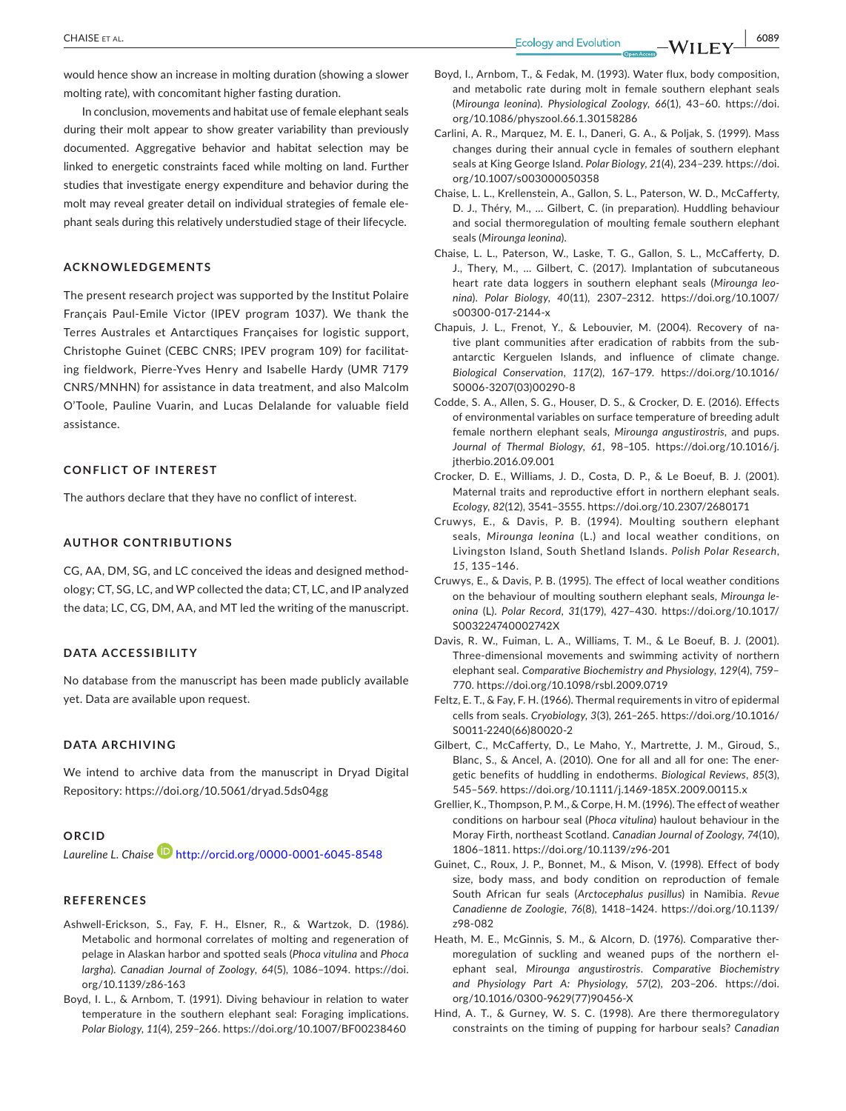**CHAISE** ET AL. **6089**<br>**Ecology** and Evolution **CHAISE** ET AL. **6089** 

would hence show an increase in molting duration (showing a slower molting rate), with concomitant higher fasting duration.

In conclusion, movements and habitat use of female elephant seals during their molt appear to show greater variability than previously documented. Aggregative behavior and habitat selection may be linked to energetic constraints faced while molting on land. Further studies that investigate energy expenditure and behavior during the molt may reveal greater detail on individual strategies of female elephant seals during this relatively understudied stage of their lifecycle.

#### **ACKNOWLEDGEMENTS**

The present research project was supported by the Institut Polaire Français Paul-Emile Victor (IPEV program 1037). We thank the Terres Australes et Antarctiques Françaises for logistic support, Christophe Guinet (CEBC CNRS; IPEV program 109) for facilitating fieldwork, Pierre-Yves Henry and Isabelle Hardy (UMR 7179 CNRS/MNHN) for assistance in data treatment, and also Malcolm O'Toole, Pauline Vuarin, and Lucas Delalande for valuable field assistance.

#### **CONFLICT OF INTEREST**

The authors declare that they have no conflict of interest.

#### **AUTHOR CONTRIBUTIONS**

CG, AA, DM, SG, and LC conceived the ideas and designed methodology; CT, SG, LC, and WP collected the data; CT, LC, and IP analyzed the data; LC, CG, DM, AA, and MT led the writing of the manuscript.

## **DATA ACCESSIBILITY**

No database from the manuscript has been made publicly available yet. Data are available upon request.

#### **DATA ARCHIVING**

We intend to archive data from the manuscript in Dryad Digital Repository: <https://doi.org/10.5061/dryad.5ds04gg>

#### **ORCID**

*Laureline L. Chais[e](http://orcid.org/0000-0001-6045-8548)* <http://orcid.org/0000-0001-6045-8548>

#### **REFERENCES**

- Ashwell-Erickson, S., Fay, F. H., Elsner, R., & Wartzok, D. (1986). Metabolic and hormonal correlates of molting and regeneration of pelage in Alaskan harbor and spotted seals (*Phoca vitulina* and *Phoca largha*). *Canadian Journal of Zoology*, *64*(5), 1086–1094. [https://doi.](https://doi.org/10.1139/z86-163) [org/10.1139/z86-163](https://doi.org/10.1139/z86-163)
- Boyd, I. L., & Arnbom, T. (1991). Diving behaviour in relation to water temperature in the southern elephant seal: Foraging implications. *Polar Biology*, *11*(4), 259–266. <https://doi.org/10.1007/BF00238460>
- Boyd, I., Arnbom, T., & Fedak, M. (1993). Water flux, body composition, and metabolic rate during molt in female southern elephant seals (*Mirounga leonina*). *Physiological Zoology*, *66*(1), 43–60. [https://doi.](https://doi.org/10.1086/physzool.66.1.30158286) [org/10.1086/physzool.66.1.30158286](https://doi.org/10.1086/physzool.66.1.30158286)
- Carlini, A. R., Marquez, M. E. I., Daneri, G. A., & Poljak, S. (1999). Mass changes during their annual cycle in females of southern elephant seals at King George Island. *Polar Biology*, *21*(4), 234–239. [https://doi.](https://doi.org/10.1007/s003000050358) [org/10.1007/s003000050358](https://doi.org/10.1007/s003000050358)
- Chaise, L. L., Krellenstein, A., Gallon, S. L., Paterson, W. D., McCafferty, D. J., Théry, M., … Gilbert, C. (in preparation). Huddling behaviour and social thermoregulation of moulting female southern elephant seals (*Mirounga leonina*).
- Chaise, L. L., Paterson, W., Laske, T. G., Gallon, S. L., McCafferty, D. J., Thery, M., … Gilbert, C. (2017). Implantation of subcutaneous heart rate data loggers in southern elephant seals (*Mirounga leonina*). *Polar Biology*, *40*(11), 2307–2312. [https://doi.org/10.1007/](https://doi.org/10.1007/s00300-017-2144-x) [s00300-017-2144-x](https://doi.org/10.1007/s00300-017-2144-x)
- Chapuis, J. L., Frenot, Y., & Lebouvier, M. (2004). Recovery of native plant communities after eradication of rabbits from the subantarctic Kerguelen Islands, and influence of climate change. *Biological Conservation*, *117*(2), 167–179. [https://doi.org/10.1016/](https://doi.org/10.1016/S0006-3207(03)00290-8) [S0006-3207\(03\)00290-8](https://doi.org/10.1016/S0006-3207(03)00290-8)
- Codde, S. A., Allen, S. G., Houser, D. S., & Crocker, D. E. (2016). Effects of environmental variables on surface temperature of breeding adult female northern elephant seals, *Mirounga angustirostris*, and pups. *Journal of Thermal Biology*, *61*, 98–105. [https://doi.org/10.1016/j.](https://doi.org/10.1016/j.jtherbio.2016.09.001) itherbio.2016.09.001
- Crocker, D. E., Williams, J. D., Costa, D. P., & Le Boeuf, B. J. (2001). Maternal traits and reproductive effort in northern elephant seals. *Ecology*, *82*(12), 3541–3555. <https://doi.org/10.2307/2680171>
- Cruwys, E., & Davis, P. B. (1994). Moulting southern elephant seals, *Mirounga leonina* (L.) and local weather conditions, on Livingston Island, South Shetland Islands. *Polish Polar Research*, *15*, 135–146.
- Cruwys, E., & Davis, P. B. (1995). The effect of local weather conditions on the behaviour of moulting southern elephant seals, *Mirounga leonina* (L). *Polar Record*, *31*(179), 427–430. [https://doi.org/10.1017/](https://doi.org/10.1017/S003224740002742X) [S003224740002742X](https://doi.org/10.1017/S003224740002742X)
- Davis, R. W., Fuiman, L. A., Williams, T. M., & Le Boeuf, B. J. (2001). Three-dimensional movements and swimming activity of northern elephant seal. *Comparative Biochemistry and Physiology*, *129*(4), 759– 770. <https://doi.org/10.1098/rsbl.2009.0719>
- Feltz, E. T., & Fay, F. H. (1966). Thermal requirements in vitro of epidermal cells from seals. *Cryobiology*, *3*(3), 261–265. [https://doi.org/10.1016/](https://doi.org/10.1016/S0011-2240(66)80020-2) [S0011-2240\(66\)80020-2](https://doi.org/10.1016/S0011-2240(66)80020-2)
- Gilbert, C., McCafferty, D., Le Maho, Y., Martrette, J. M., Giroud, S., Blanc, S., & Ancel, A. (2010). One for all and all for one: The energetic benefits of huddling in endotherms. *Biological Reviews*, *85*(3), 545–569. <https://doi.org/10.1111/j.1469-185X.2009.00115.x>
- Grellier, K., Thompson, P. M., & Corpe, H. M. (1996). The effect of weather conditions on harbour seal (*Phoca vitulina*) haulout behaviour in the Moray Firth, northeast Scotland. *Canadian Journal of Zoology*, *74*(10), 1806–1811. <https://doi.org/10.1139/z96-201>
- Guinet, C., Roux, J. P., Bonnet, M., & Mison, V. (1998). Effect of body size, body mass, and body condition on reproduction of female South African fur seals (*Arctocephalus pusillus*) in Namibia. *Revue Canadienne de Zoologie*, *76*(8), 1418–1424. [https://doi.org/10.1139/](https://doi.org/10.1139/z98-082) [z98-082](https://doi.org/10.1139/z98-082)
- Heath, M. E., McGinnis, S. M., & Alcorn, D. (1976). Comparative thermoregulation of suckling and weaned pups of the northern elephant seal, *Mirounga angustirostris*. *Comparative Biochemistry and Physiology Part A: Physiology*, *57*(2), 203–206. [https://doi.](https://doi.org/10.1016/0300-9629(77)90456-X) [org/10.1016/0300-9629\(77\)90456-X](https://doi.org/10.1016/0300-9629(77)90456-X)
- Hind, A. T., & Gurney, W. S. C. (1998). Are there thermoregulatory constraints on the timing of pupping for harbour seals? *Canadian*